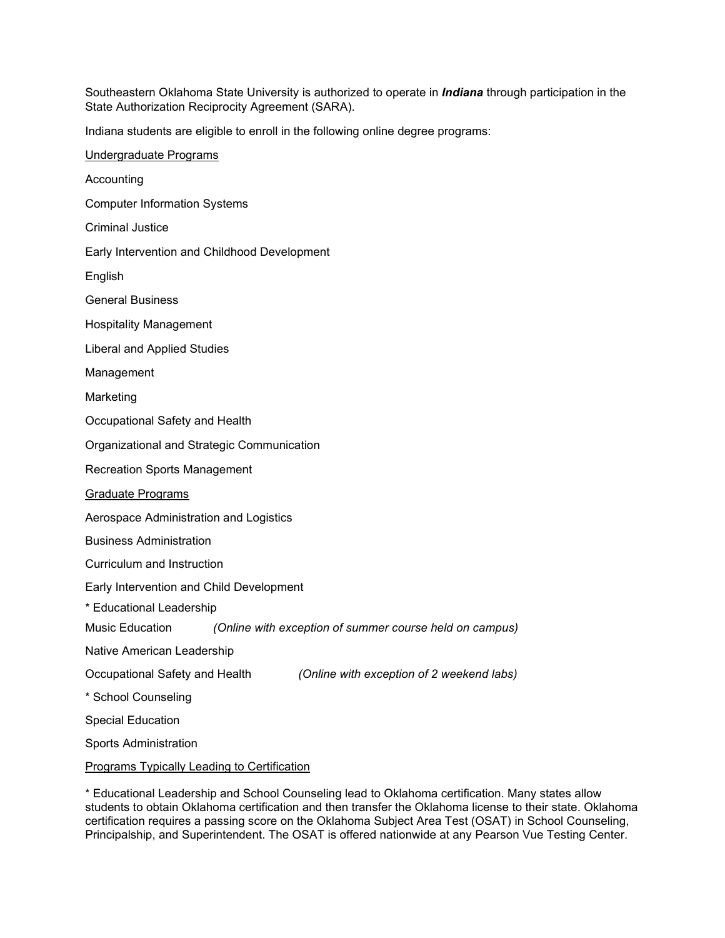Southeastern Oklahoma State University is authorized to operate in *Indiana* through participation in the State Authorization Reciprocity Agreement (SARA).

Indiana students are eligible to enroll in the following online degree programs:

\* Educational Leadership and School Counseling lead to Oklahoma certification. Many states allow students to obtain Oklahoma certification and then transfer the Oklahoma license to their state. Oklahoma certification requires a passing score on the Oklahoma Subject Area Test (OSAT) in School Counseling, Principalship, and Superintendent. The OSAT is offered nationwide at any Pearson Vue Testing Center.